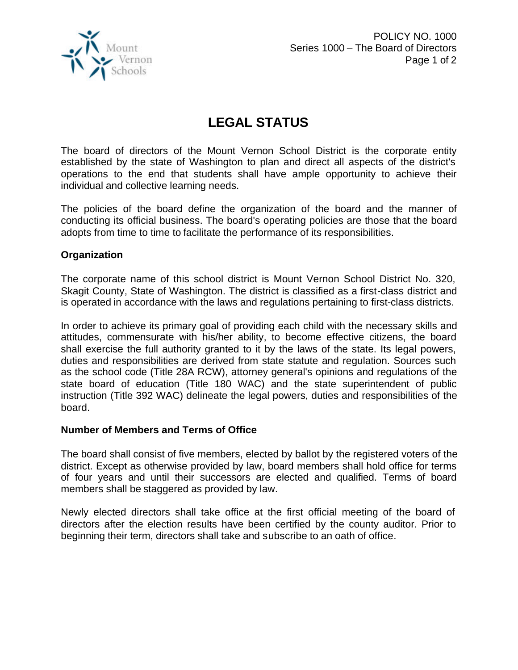

## **LEGAL STATUS**

The board of directors of the Mount Vernon School District is the corporate entity established by the state of Washington to plan and direct all aspects of the district's operations to the end that students shall have ample opportunity to achieve their individual and collective learning needs.

The policies of the board define the organization of the board and the manner of conducting its official business. The board's operating policies are those that the board adopts from time to time to facilitate the performance of its responsibilities.

## **Organization**

The corporate name of this school district is Mount Vernon School District No. 320, Skagit County, State of Washington. The district is classified as a first-class district and is operated in accordance with the laws and regulations pertaining to first-class districts.

In order to achieve its primary goal of providing each child with the necessary skills and attitudes, commensurate with his/her ability, to become effective citizens, the board shall exercise the full authority granted to it by the laws of the state. Its legal powers, duties and responsibilities are derived from state statute and regulation. Sources such as the school code (Title 28A RCW), attorney general's opinions and regulations of the state board of education (Title 180 WAC) and the state superintendent of public instruction (Title 392 WAC) delineate the legal powers, duties and responsibilities of the board.

## **Number of Members and Terms of Office**

The board shall consist of five members, elected by ballot by the registered voters of the district. Except as otherwise provided by law, board members shall hold office for terms of four years and until their successors are elected and qualified. Terms of board members shall be staggered as provided by law.

Newly elected directors shall take office at the first official meeting of the board of directors after the election results have been certified by the county auditor. Prior to beginning their term, directors shall take and subscribe to an oath of office.